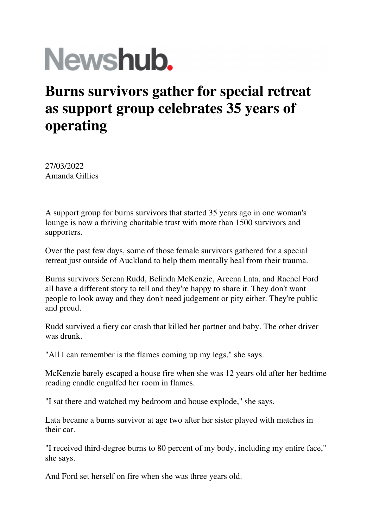## Newshub.

## **Burns survivors gather for special retreat as support group celebrates 35 years of operating**

27/03/2022 Amanda Gillies

A support group for burns survivors that started 35 years ago in one woman's lounge is now a thriving charitable trust with more than 1500 survivors and supporters.

Over the past few days, some of those female survivors gathered for a special retreat just outside of Auckland to help them mentally heal from their trauma.

Burns survivors Serena Rudd, Belinda McKenzie, Areena Lata, and Rachel Ford all have a different story to tell and they're happy to share it. They don't want people to look away and they don't need judgement or pity either. They're public and proud.

Rudd survived a fiery car crash that killed her partner and baby. The other driver was drunk.

"All I can remember is the flames coming up my legs," she says.

McKenzie barely escaped a house fire when she was 12 years old after her bedtime reading candle engulfed her room in flames.

"I sat there and watched my bedroom and house explode," she says.

Lata became a burns survivor at age two after her sister played with matches in their car.

"I received third-degree burns to 80 percent of my body, including my entire face," she says.

And Ford set herself on fire when she was three years old.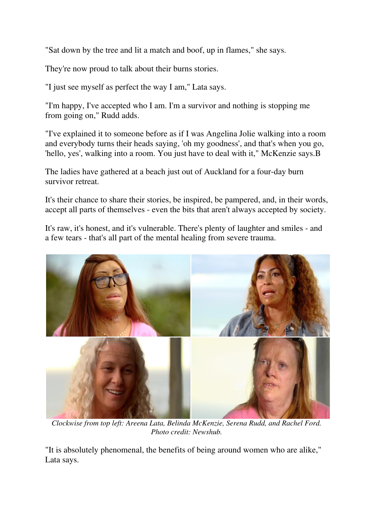"Sat down by the tree and lit a match and boof, up in flames," she says.

They're now proud to talk about their burns stories.

"I just see myself as perfect the way I am," Lata says.

"I'm happy, I've accepted who I am. I'm a survivor and nothing is stopping me from going on," Rudd adds.

"I've explained it to someone before as if I was Angelina Jolie walking into a room and everybody turns their heads saying, 'oh my goodness', and that's when you go, 'hello, yes', walking into a room. You just have to deal with it," McKenzie says.B

The ladies have gathered at a beach just out of Auckland for a four-day burn survivor retreat.

It's their chance to share their stories, be inspired, be pampered, and, in their words, accept all parts of themselves - even the bits that aren't always accepted by society.

It's raw, it's honest, and it's vulnerable. There's plenty of laughter and smiles - and a few tears - that's all part of the mental healing from severe trauma.



*Clockwise from top left: Areena Lata, Belinda McKenzie, Serena Rudd, and Rachel Ford. Photo credit: Newshub.*

"It is absolutely phenomenal, the benefits of being around women who are alike," Lata says.